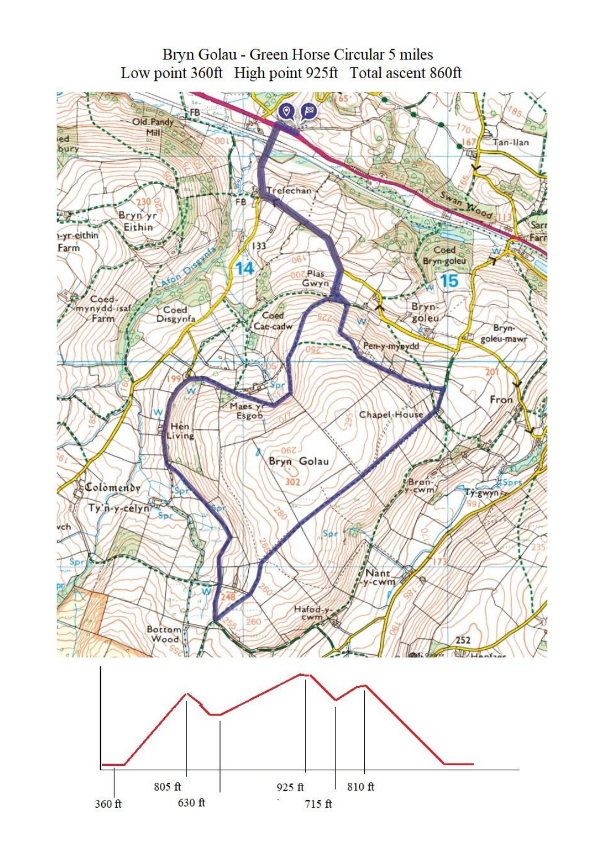## Bryn Golau - Green Horse Circular 5 miles Low point 360ft High point 925ft Total ascent 860ft